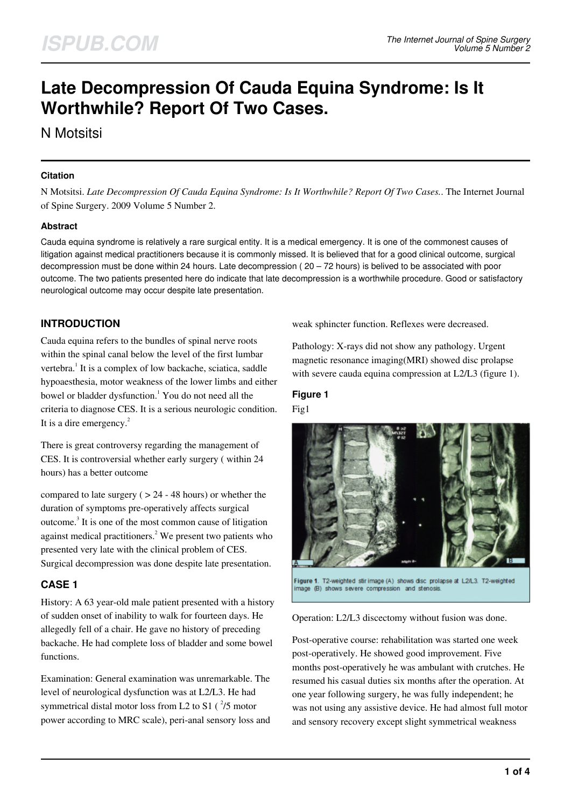# **Late Decompression Of Cauda Equina Syndrome: Is It Worthwhile? Report Of Two Cases.**

N Motsitsi

#### **Citation**

N Motsitsi. *Late Decompression Of Cauda Equina Syndrome: Is It Worthwhile? Report Of Two Cases.*. The Internet Journal of Spine Surgery. 2009 Volume 5 Number 2.

### **Abstract**

Cauda equina syndrome is relatively a rare surgical entity. It is a medical emergency. It is one of the commonest causes of litigation against medical practitioners because it is commonly missed. It is believed that for a good clinical outcome, surgical decompression must be done within 24 hours. Late decompression ( $20 - 72$  hours) is belived to be associated with poor outcome. The two patients presented here do indicate that late decompression is a worthwhile procedure. Good or satisfactory neurological outcome may occur despite late presentation.

## **INTRODUCTION**

Cauda equina refers to the bundles of spinal nerve roots within the spinal canal below the level of the first lumbar vertebra.<sup>1</sup> It is a complex of low backache, sciatica, saddle hypoaesthesia, motor weakness of the lower limbs and either bowel or bladder dysfunction.<sup>1</sup> You do not need all the criteria to diagnose CES. It is a serious neurologic condition. It is a dire emergency. $^{2}$ 

There is great controversy regarding the management of CES. It is controversial whether early surgery ( within 24 hours) has a better outcome

compared to late surgery ( $> 24 - 48$  hours) or whether the duration of symptoms pre-operatively affects surgical outcome.<sup>3</sup> It is one of the most common cause of litigation against medical practitioners.<sup>2</sup> We present two patients who presented very late with the clinical problem of CES. Surgical decompression was done despite late presentation.

## **CASE 1**

History: A 63 year-old male patient presented with a history of sudden onset of inability to walk for fourteen days. He allegedly fell of a chair. He gave no history of preceding backache. He had complete loss of bladder and some bowel functions.

Examination: General examination was unremarkable. The level of neurological dysfunction was at L2/L3. He had symmetrical distal motor loss from L2 to S1  $(^2/5$  motor power according to MRC scale), peri-anal sensory loss and

weak sphincter function. Reflexes were decreased.

Pathology: X-rays did not show any pathology. Urgent magnetic resonance imaging(MRI) showed disc prolapse with severe cauda equina compression at L2/L3 (figure 1).

## **Figure 1** Fig1



Figure 1. T2-weighted stir image (A) shows disc prolapse at L2/L3. T2-weighted image (B) shows severe compression and stenos

Operation: L2/L3 discectomy without fusion was done.

Post-operative course: rehabilitation was started one week post-operatively. He showed good improvement. Five months post-operatively he was ambulant with crutches. He resumed his casual duties six months after the operation. At one year following surgery, he was fully independent; he was not using any assistive device. He had almost full motor and sensory recovery except slight symmetrical weakness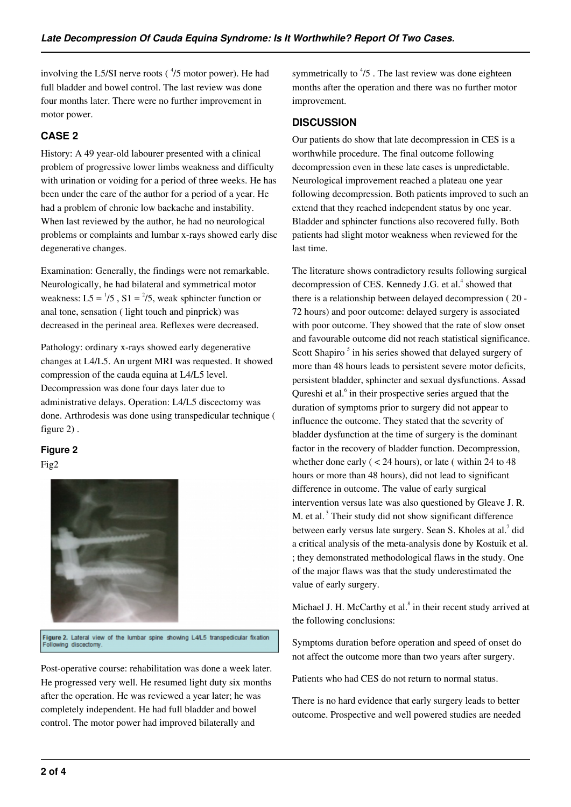involving the L5/SI nerve roots  $(^{4}/5$  motor power). He had full bladder and bowel control. The last review was done four months later. There were no further improvement in motor power.

## **CASE 2**

History: A 49 year-old labourer presented with a clinical problem of progressive lower limbs weakness and difficulty with urination or voiding for a period of three weeks. He has been under the care of the author for a period of a year. He had a problem of chronic low backache and instability. When last reviewed by the author, he had no neurological problems or complaints and lumbar x-rays showed early disc degenerative changes.

Examination: Generally, the findings were not remarkable. Neurologically, he had bilateral and symmetrical motor weakness:  $L5 = \frac{1}{5}$ ,  $S1 = \frac{2}{5}$ , weak sphincter function or anal tone, sensation ( light touch and pinprick) was decreased in the perineal area. Reflexes were decreased.

Pathology: ordinary x-rays showed early degenerative changes at L4/L5. An urgent MRI was requested. It showed compression of the cauda equina at L4/L5 level. Decompression was done four days later due to administrative delays. Operation: L4/L5 discectomy was done. Arthrodesis was done using transpedicular technique ( figure 2) .

## **Figure 2**

Fig2



Figure 2. Lateral view of the lumbar spine showing L4/L5 transpedicular fixation Following discectom

Post-operative course: rehabilitation was done a week later. He progressed very well. He resumed light duty six months after the operation. He was reviewed a year later; he was completely independent. He had full bladder and bowel control. The motor power had improved bilaterally and

symmetrically to  $\frac{4}{5}$ . The last review was done eighteen months after the operation and there was no further motor improvement.

## **DISCUSSION**

Our patients do show that late decompression in CES is a worthwhile procedure. The final outcome following decompression even in these late cases is unpredictable. Neurological improvement reached a plateau one year following decompression. Both patients improved to such an extend that they reached independent status by one year. Bladder and sphincter functions also recovered fully. Both patients had slight motor weakness when reviewed for the last time.

The literature shows contradictory results following surgical decompression of CES. Kennedy J.G. et al.<sup>4</sup> showed that there is a relationship between delayed decompression ( 20 - 72 hours) and poor outcome: delayed surgery is associated with poor outcome. They showed that the rate of slow onset and favourable outcome did not reach statistical significance. Scott Shapiro<sup>5</sup> in his series showed that delayed surgery of more than 48 hours leads to persistent severe motor deficits, persistent bladder, sphincter and sexual dysfunctions. Assad Qureshi et al.<sup>6</sup> in their prospective series argued that the duration of symptoms prior to surgery did not appear to influence the outcome. They stated that the severity of bladder dysfunction at the time of surgery is the dominant factor in the recovery of bladder function. Decompression, whether done early  $(< 24$  hours), or late (within 24 to 48 hours or more than 48 hours), did not lead to significant difference in outcome. The value of early surgical intervention versus late was also questioned by Gleave J. R. M. et al.<sup>3</sup> Their study did not show significant difference between early versus late surgery. Sean S. Kholes at al.<sup>7</sup> did a critical analysis of the meta-analysis done by Kostuik et al. ; they demonstrated methodological flaws in the study. One of the major flaws was that the study underestimated the value of early surgery.

Michael J. H. McCarthy et al.<sup>8</sup> in their recent study arrived at the following conclusions:

Symptoms duration before operation and speed of onset do not affect the outcome more than two years after surgery.

Patients who had CES do not return to normal status.

There is no hard evidence that early surgery leads to better outcome. Prospective and well powered studies are needed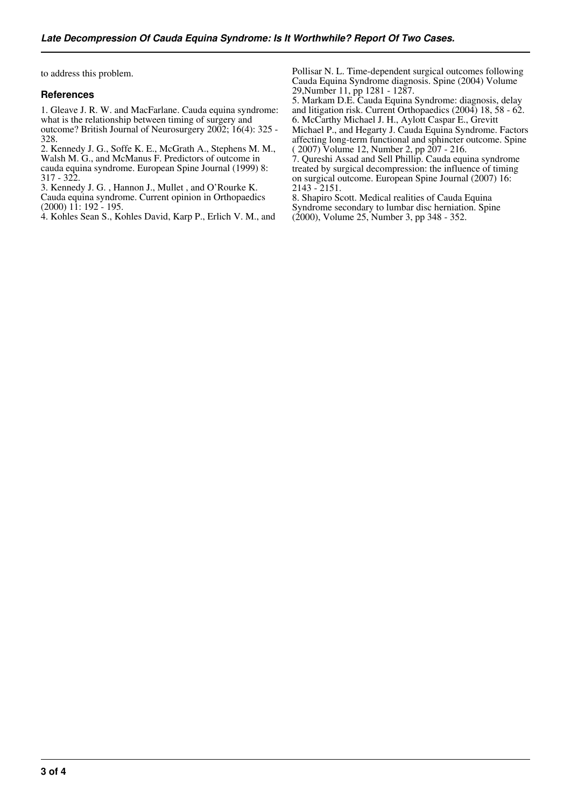to address this problem.

#### **References**

1. Gleave J. R. W. and MacFarlane. Cauda equina syndrome: what is the relationship between timing of surgery and outcome? British Journal of Neurosurgery 2002; 16(4): 325 - 328.

2. Kennedy J. G., Soffe K. E., McGrath A., Stephens M. M., Walsh M. G., and McManus F. Predictors of outcome in cauda equina syndrome. European Spine Journal (1999) 8: 317 - 322.

3. Kennedy J. G. , Hannon J., Mullet , and O'Rourke K. Cauda equina syndrome. Current opinion in Orthopaedics  $(2000)$  11: 192 - 195.

4. Kohles Sean S., Kohles David, Karp P., Erlich V. M., and

Pollisar N. L. Time-dependent surgical outcomes following Cauda Equina Syndrome diagnosis. Spine (2004) Volume 29,Number 11, pp 1281 - 1287.

5. Markam D.E. Cauda Equina Syndrome: diagnosis, delay and litigation risk. Current Orthopaedics (2004) 18, 58 - 62. 6. McCarthy Michael J. H., Aylott Caspar E., Grevitt Michael P., and Hegarty J. Cauda Equina Syndrome. Factors affecting long-term functional and sphincter outcome. Spine ( 2007) Volume 12, Number 2, pp 207 - 216.

7. Qureshi Assad and Sell Phillip. Cauda equina syndrome treated by surgical decompression: the influence of timing on surgical outcome. European Spine Journal (2007) 16: 2143 - 2151.

8. Shapiro Scott. Medical realities of Cauda Equina Syndrome secondary to lumbar disc herniation. Spine (2000), Volume 25, Number 3, pp 348 - 352.